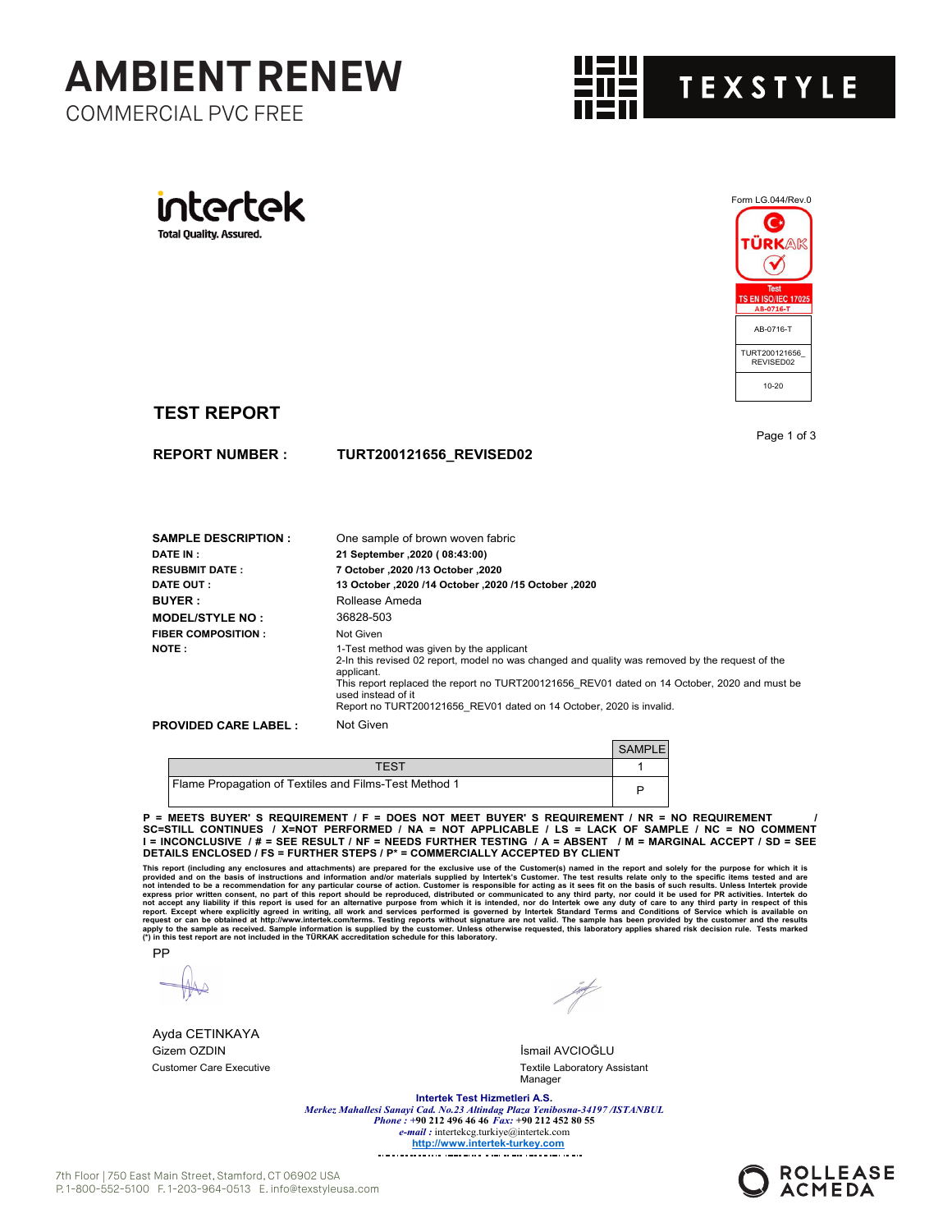







## **TEST REPORT**

**REPORT NUMBER :**

Page 1 of 3

| <b>SAMPLE DESCRIPTION :</b>  | One sample of brown woven fabric                                                                                                                                                                                                                                                                                                                       |
|------------------------------|--------------------------------------------------------------------------------------------------------------------------------------------------------------------------------------------------------------------------------------------------------------------------------------------------------------------------------------------------------|
| <b>DATE IN :</b>             | 21 September , 2020 ( 08:43:00)                                                                                                                                                                                                                                                                                                                        |
| <b>RESUBMIT DATE :</b>       | 7 October .2020 /13 October .2020                                                                                                                                                                                                                                                                                                                      |
| <b>DATE OUT :</b>            | 13 October .2020 /14 October .2020 /15 October .2020                                                                                                                                                                                                                                                                                                   |
| <b>BUYER :</b>               | Rollease Ameda                                                                                                                                                                                                                                                                                                                                         |
| <b>MODEL/STYLE NO :</b>      | 36828-503                                                                                                                                                                                                                                                                                                                                              |
| <b>FIBER COMPOSITION :</b>   | Not Given                                                                                                                                                                                                                                                                                                                                              |
| <b>NOTE:</b>                 | 1-Test method was given by the applicant<br>2-In this revised 02 report, model no was changed and quality was removed by the request of the<br>applicant.<br>This report replaced the report no TURT200121656 REV01 dated on 14 October, 2020 and must be<br>used instead of it<br>Report no TURT200121656 REV01 dated on 14 October, 2020 is invalid. |
| <b>PROVIDED CARE LABEL :</b> | Not Given                                                                                                                                                                                                                                                                                                                                              |

|                                                       | <b>SAMPLE</b> |
|-------------------------------------------------------|---------------|
| TFST                                                  |               |
| Flame Propagation of Textiles and Films-Test Method 1 | P             |

**TURT200121656\_REVISED02**

**P = MEETS BUYER' S REQUIREMENT / F = DOES NOT MEET BUYER' S REQUIREMENT / NR = NO REQUIREMENT / SC=STILL CONTINUES / X=NOT PERFORMED / NA = NOT APPLICABLE / LS = LACK OF SAMPLE / NC = NO COMMENT I = INCONCLUSIVE / # = SEE RESULT / NF = NEEDS FURTHER TESTING / A = ABSENT / M = MARGINAL ACCEPT / SD = SEE DETAILS ENCLOSED / FS = FURTHER STEPS / P\* = COMMERCIALLY ACCEPTED BY CLIENT**

This report (including any enclosures and attachments) are prepared for the exclusive use of the Customer. The test results relate only to the specific items tested and are<br>provided and on the basis of instructions and inf

PP

Ayda CETINKAYA Gizem OZDIN İsmail AVCIOĞLU

Customer Care Executive Textile Laboratory Assistant Manager

**Intertek Test Hizmetleri A.S.**

*Merkez Mahallesi Sanayi Cad. No.23 Altindag Plaza Yenibosna-34197 /ISTANBUL Phone : +***90 212 496 46 46** *Fax:* **+90 212 452 80 55** *e-mail :* intertekcg.turkiye@intertek.com **http://www.intertek-turkey.com**

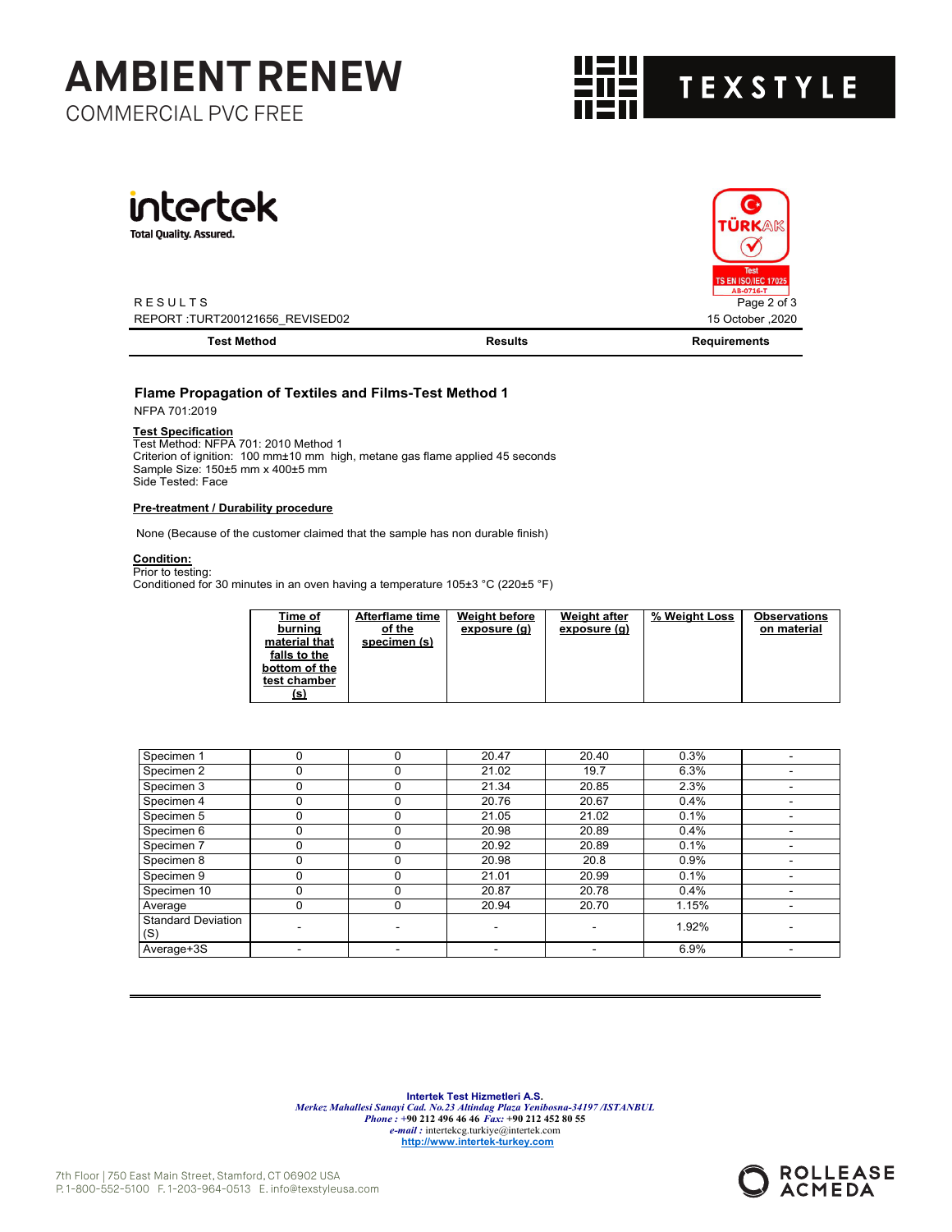# COMMERCIAL PVC FREE **AMBIENT RENEW**



Ć ÜRKA

Tes **S EN ISO/IEC 17025** 



**Total Quality. Assured.** 

R E S U L T S Page 2 of 3 REPORT :TURT200121656\_REVISED02 15 October ,2020

| Test Method | रेesults | nents |
|-------------|----------|-------|
|             |          |       |

### **Flame Propagation of Textiles and Films-Test Method 1**

NFPA 701:2019

#### **Test Specification**

Test Method: NFPA 701: 2010 Method 1 Criterion of ignition: 100 mm±10 mm high, metane gas flame applied 45 seconds Sample Size: 150±5 mm x 400±5 mm Side Tested: Face

#### **Pre-treatment / Durability procedure**

None (Because of the customer claimed that the sample has non durable finish)

# **Condition:** Prior to testing:

Conditioned for 30 minutes in an oven having a temperature 105±3 °C (220±5 °F)

| Time of       | <b>Afterflame time</b> | <b>Weight before</b> | Weight after | % Weight Loss | <b>Observations</b> |
|---------------|------------------------|----------------------|--------------|---------------|---------------------|
| burning       | of the                 | exposure (g)         | exposure (g) |               | on material         |
| material that | specimen (s)           |                      |              |               |                     |
| falls to the  |                        |                      |              |               |                     |
| bottom of the |                        |                      |              |               |                     |
| test chamber  |                        |                      |              |               |                     |
| <u>(s)</u>    |                        |                      |              |               |                     |

| Specimen 1                       | 0 | 0 | 20.47 | 20.40 | 0.3%  |  |
|----------------------------------|---|---|-------|-------|-------|--|
| Specimen 2                       | υ | 0 | 21.02 | 19.7  | 6.3%  |  |
| Specimen 3                       |   |   | 21.34 | 20.85 | 2.3%  |  |
| Specimen 4                       |   | O | 20.76 | 20.67 | 0.4%  |  |
| Specimen 5                       |   | O | 21.05 | 21.02 | 0.1%  |  |
| Specimen 6                       |   |   | 20.98 | 20.89 | 0.4%  |  |
| Specimen 7                       |   | O | 20.92 | 20.89 | 0.1%  |  |
| Specimen 8                       | υ | 0 | 20.98 | 20.8  | 0.9%  |  |
| Specimen 9                       |   | ი | 21.01 | 20.99 | 0.1%  |  |
| Specimen 10                      |   | U | 20.87 | 20.78 | 0.4%  |  |
| Average                          | υ | 0 | 20.94 | 20.70 | 1.15% |  |
| <b>Standard Deviation</b><br>(S) |   |   |       |       | 1.92% |  |
| Average+3S                       |   |   |       |       | 6.9%  |  |

**Intertek Test Hizmetleri A.S.** *Merkez Mahallesi Sanayi Cad. No.23 Altindag Plaza Yenibosna-34197 /ISTANBUL Phone : +***90 212 496 46 46** *Fax:* **+90 212 452 80 55** *e-mail :* intertekcg.turkiye@intertek.com **http://www.intertek-turkey.com**